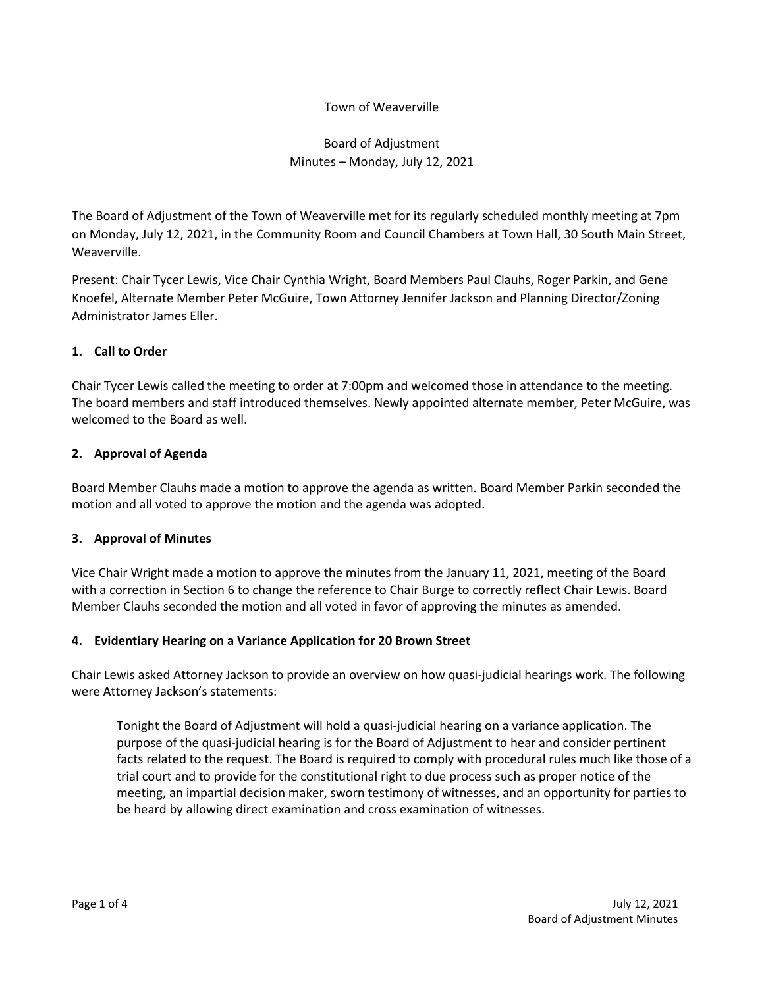# Town of Weaverville

# Board of Adjustment Minutes – Monday, July 12, 2021

The Board of Adjustment of the Town of Weaverville met for its regularly scheduled monthly meeting at 7pm on Monday, July 12, 2021, in the Community Room and Council Chambers at Town Hall, 30 South Main Street, Weaverville.

Present: Chair Tycer Lewis, Vice Chair Cynthia Wright, Board Members Paul Clauhs, Roger Parkin, and Gene Knoefel, Alternate Member Peter McGuire, Town Attorney Jennifer Jackson and Planning Director/Zoning Administrator James Eller.

# **1. Call to Order**

Chair Tycer Lewis called the meeting to order at 7:00pm and welcomed those in attendance to the meeting. The board members and staff introduced themselves. Newly appointed alternate member, Peter McGuire, was welcomed to the Board as well.

# **2. Approval of Agenda**

Board Member Clauhs made a motion to approve the agenda as written. Board Member Parkin seconded the motion and all voted to approve the motion and the agenda was adopted.

#### **3. Approval of Minutes**

Vice Chair Wright made a motion to approve the minutes from the January 11, 2021, meeting of the Board with a correction in Section 6 to change the reference to Chair Burge to correctly reflect Chair Lewis. Board Member Clauhs seconded the motion and all voted in favor of approving the minutes as amended.

# **4. Evidentiary Hearing on a Variance Application for 20 Brown Street**

Chair Lewis asked Attorney Jackson to provide an overview on how quasi-judicial hearings work. The following were Attorney Jackson's statements:

Tonight the Board of Adjustment will hold a quasi-judicial hearing on a variance application. The purpose of the quasi-judicial hearing is for the Board of Adjustment to hear and consider pertinent facts related to the request. The Board is required to comply with procedural rules much like those of a trial court and to provide for the constitutional right to due process such as proper notice of the meeting, an impartial decision maker, sworn testimony of witnesses, and an opportunity for parties to be heard by allowing direct examination and cross examination of witnesses.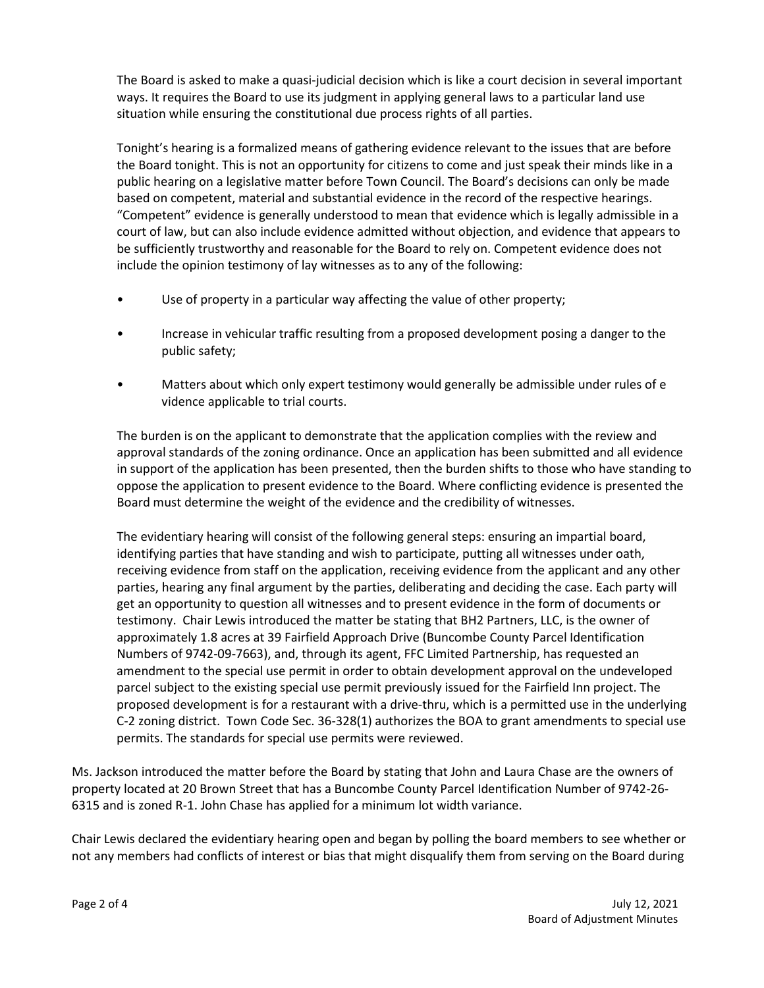The Board is asked to make a quasi-judicial decision which is like a court decision in several important ways. It requires the Board to use its judgment in applying general laws to a particular land use situation while ensuring the constitutional due process rights of all parties.

Tonight's hearing is a formalized means of gathering evidence relevant to the issues that are before the Board tonight. This is not an opportunity for citizens to come and just speak their minds like in a public hearing on a legislative matter before Town Council. The Board's decisions can only be made based on competent, material and substantial evidence in the record of the respective hearings. "Competent" evidence is generally understood to mean that evidence which is legally admissible in a court of law, but can also include evidence admitted without objection, and evidence that appears to be sufficiently trustworthy and reasonable for the Board to rely on. Competent evidence does not include the opinion testimony of lay witnesses as to any of the following:

- Use of property in a particular way affecting the value of other property;
- Increase in vehicular traffic resulting from a proposed development posing a danger to the public safety;
- Matters about which only expert testimony would generally be admissible under rules of e vidence applicable to trial courts.

The burden is on the applicant to demonstrate that the application complies with the review and approval standards of the zoning ordinance. Once an application has been submitted and all evidence in support of the application has been presented, then the burden shifts to those who have standing to oppose the application to present evidence to the Board. Where conflicting evidence is presented the Board must determine the weight of the evidence and the credibility of witnesses.

The evidentiary hearing will consist of the following general steps: ensuring an impartial board, identifying parties that have standing and wish to participate, putting all witnesses under oath, receiving evidence from staff on the application, receiving evidence from the applicant and any other parties, hearing any final argument by the parties, deliberating and deciding the case. Each party will get an opportunity to question all witnesses and to present evidence in the form of documents or testimony. Chair Lewis introduced the matter be stating that BH2 Partners, LLC, is the owner of approximately 1.8 acres at 39 Fairfield Approach Drive (Buncombe County Parcel Identification Numbers of 9742-09-7663), and, through its agent, FFC Limited Partnership, has requested an amendment to the special use permit in order to obtain development approval on the undeveloped parcel subject to the existing special use permit previously issued for the Fairfield Inn project. The proposed development is for a restaurant with a drive-thru, which is a permitted use in the underlying C-2 zoning district. Town Code Sec. 36-328(1) authorizes the BOA to grant amendments to special use permits. The standards for special use permits were reviewed.

Ms. Jackson introduced the matter before the Board by stating that John and Laura Chase are the owners of property located at 20 Brown Street that has a Buncombe County Parcel Identification Number of 9742-26- 6315 and is zoned R-1. John Chase has applied for a minimum lot width variance.

Chair Lewis declared the evidentiary hearing open and began by polling the board members to see whether or not any members had conflicts of interest or bias that might disqualify them from serving on the Board during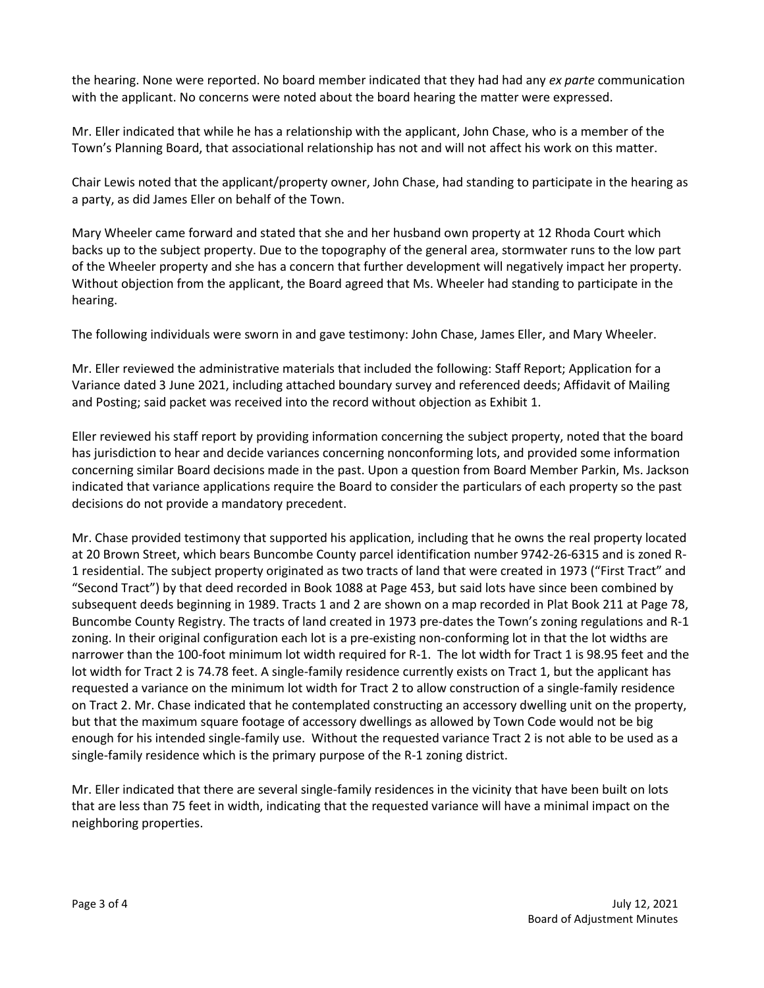the hearing. None were reported. No board member indicated that they had had any *ex parte* communication with the applicant. No concerns were noted about the board hearing the matter were expressed.

Mr. Eller indicated that while he has a relationship with the applicant, John Chase, who is a member of the Town's Planning Board, that associational relationship has not and will not affect his work on this matter.

Chair Lewis noted that the applicant/property owner, John Chase, had standing to participate in the hearing as a party, as did James Eller on behalf of the Town.

Mary Wheeler came forward and stated that she and her husband own property at 12 Rhoda Court which backs up to the subject property. Due to the topography of the general area, stormwater runs to the low part of the Wheeler property and she has a concern that further development will negatively impact her property. Without objection from the applicant, the Board agreed that Ms. Wheeler had standing to participate in the hearing.

The following individuals were sworn in and gave testimony: John Chase, James Eller, and Mary Wheeler.

Mr. Eller reviewed the administrative materials that included the following: Staff Report; Application for a Variance dated 3 June 2021, including attached boundary survey and referenced deeds; Affidavit of Mailing and Posting; said packet was received into the record without objection as Exhibit 1.

Eller reviewed his staff report by providing information concerning the subject property, noted that the board has jurisdiction to hear and decide variances concerning nonconforming lots, and provided some information concerning similar Board decisions made in the past. Upon a question from Board Member Parkin, Ms. Jackson indicated that variance applications require the Board to consider the particulars of each property so the past decisions do not provide a mandatory precedent.

Mr. Chase provided testimony that supported his application, including that he owns the real property located at 20 Brown Street, which bears Buncombe County parcel identification number 9742-26-6315 and is zoned R-1 residential. The subject property originated as two tracts of land that were created in 1973 ("First Tract" and "Second Tract") by that deed recorded in Book 1088 at Page 453, but said lots have since been combined by subsequent deeds beginning in 1989. Tracts 1 and 2 are shown on a map recorded in Plat Book 211 at Page 78, Buncombe County Registry. The tracts of land created in 1973 pre-dates the Town's zoning regulations and R-1 zoning. In their original configuration each lot is a pre-existing non-conforming lot in that the lot widths are narrower than the 100-foot minimum lot width required for R-1. The lot width for Tract 1 is 98.95 feet and the lot width for Tract 2 is 74.78 feet. A single-family residence currently exists on Tract 1, but the applicant has requested a variance on the minimum lot width for Tract 2 to allow construction of a single-family residence on Tract 2. Mr. Chase indicated that he contemplated constructing an accessory dwelling unit on the property, but that the maximum square footage of accessory dwellings as allowed by Town Code would not be big enough for his intended single-family use. Without the requested variance Tract 2 is not able to be used as a single-family residence which is the primary purpose of the R-1 zoning district.

Mr. Eller indicated that there are several single-family residences in the vicinity that have been built on lots that are less than 75 feet in width, indicating that the requested variance will have a minimal impact on the neighboring properties.